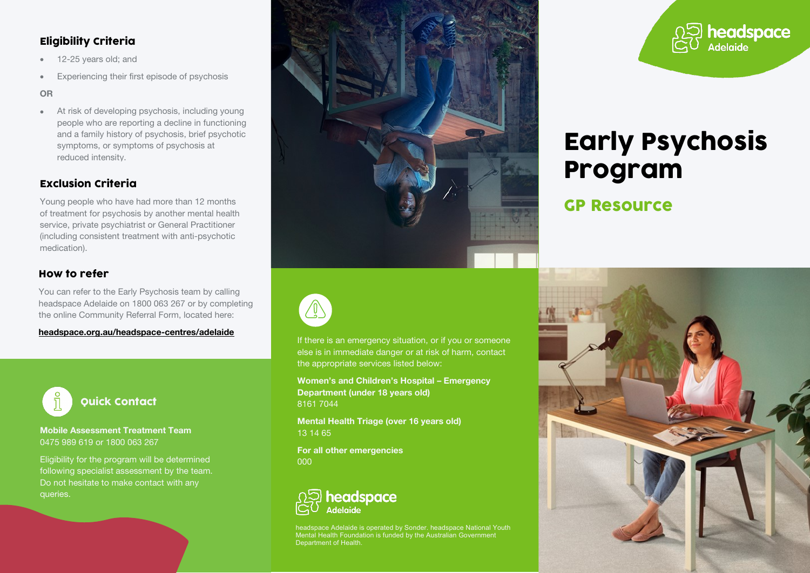## Eligibility Criteria

- 12-25 years old: and
- Experiencing their first episode of psychosis

**OR**

• At risk of developing psychosis, including young people who are reporting a decline in functioning and a family history of psychosis, brief psychotic symptoms, or symptoms of psychosis at reduced intensity.

## Exclusion Criteria

Young people who have had more than 12 months of treatment for psychosis by another mental health service, private psychiatrist or General Practitioner (including consistent treatment with anti-psychotic medication).

### How to refer

You can refer to the Early Psychosis team by calling headspace Adelaide on 1800 063 267 or by completing the online Community Referral Form, located here:

**[headspace.org.au/headspace-centres/adelaide](https://headspace.org.au/headspace-centres/adelaide/)**



**Mobile Assessment Treatment Team** 0475 989 619 or 1800 063 267

Eligibility for the program will be determined following specialist assessment by the team. Do not hesitate to make contact with any queries.





If there is an emergency situation, or if you or someone else is in immediate danger or at risk of harm, contact the appropriate services listed below:

**Women's and Children's Hospital – Emergency Department (under 18 years old)** 8161 7044

**Mental Health Triage (over 16 years old)** 13 14 65

**For all other emergencies** 000



headspace Adelaide is operated by Sonder. headspace National Youth Mental Health Foundation is funded by the Australian Government Department of Health.



# Early Psychosis Program

# GP Resource